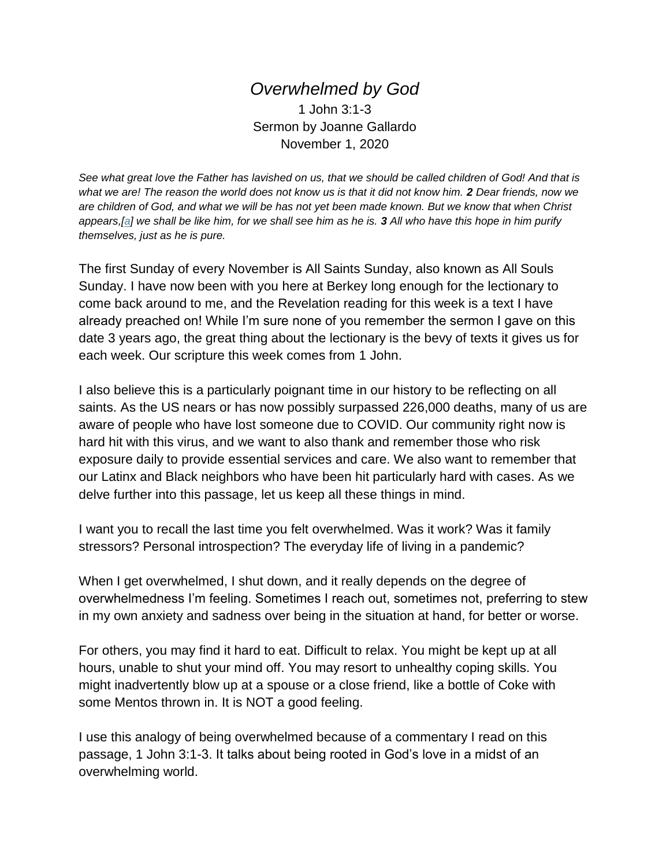## *Overwhelmed by God* 1 John 3:1-3 Sermon by Joanne Gallardo November 1, 2020

*See what great love the Father has lavished on us, that we should be called children of God! And that is what we are! The reason the world does not know us is that it did not know him. 2 Dear friends, now we are children of God, and what we will be has not yet been made known. But we know that when Christ appears,[\[a\]](https://www.biblegateway.com/passage/?search=1%20John%203%3A1-3&version=NIV#fen-NIV-30582a) we shall be like him, for we shall see him as he is. 3 All who have this hope in him purify themselves, just as he is pure.*

The first Sunday of every November is All Saints Sunday, also known as All Souls Sunday. I have now been with you here at Berkey long enough for the lectionary to come back around to me, and the Revelation reading for this week is a text I have already preached on! While I'm sure none of you remember the sermon I gave on this date 3 years ago, the great thing about the lectionary is the bevy of texts it gives us for each week. Our scripture this week comes from 1 John.

I also believe this is a particularly poignant time in our history to be reflecting on all saints. As the US nears or has now possibly surpassed 226,000 deaths, many of us are aware of people who have lost someone due to COVID. Our community right now is hard hit with this virus, and we want to also thank and remember those who risk exposure daily to provide essential services and care. We also want to remember that our Latinx and Black neighbors who have been hit particularly hard with cases. As we delve further into this passage, let us keep all these things in mind.

I want you to recall the last time you felt overwhelmed. Was it work? Was it family stressors? Personal introspection? The everyday life of living in a pandemic?

When I get overwhelmed, I shut down, and it really depends on the degree of overwhelmedness I'm feeling. Sometimes I reach out, sometimes not, preferring to stew in my own anxiety and sadness over being in the situation at hand, for better or worse.

For others, you may find it hard to eat. Difficult to relax. You might be kept up at all hours, unable to shut your mind off. You may resort to unhealthy coping skills. You might inadvertently blow up at a spouse or a close friend, like a bottle of Coke with some Mentos thrown in. It is NOT a good feeling.

I use this analogy of being overwhelmed because of a commentary I read on this passage, 1 John 3:1-3. It talks about being rooted in God's love in a midst of an overwhelming world.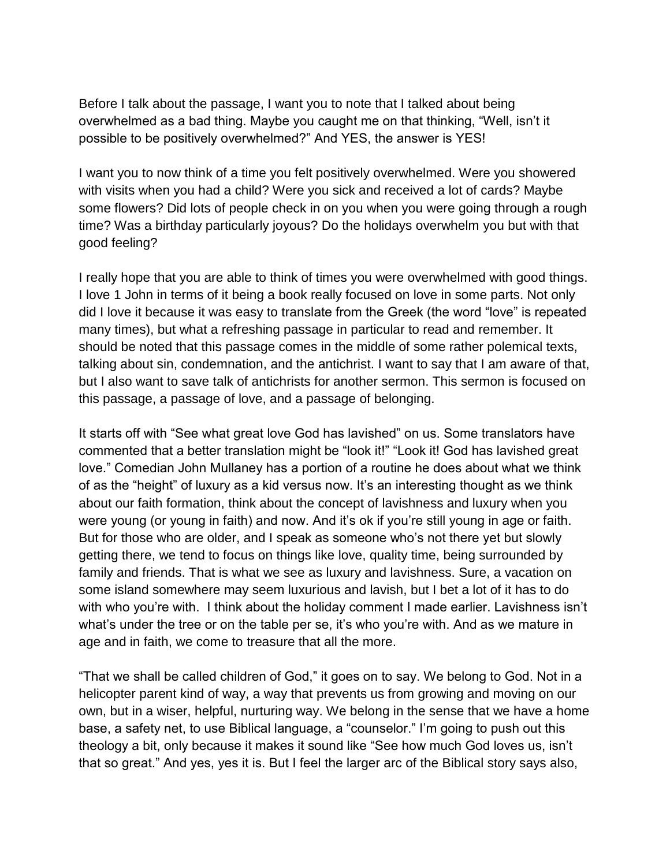Before I talk about the passage, I want you to note that I talked about being overwhelmed as a bad thing. Maybe you caught me on that thinking, "Well, isn't it possible to be positively overwhelmed?" And YES, the answer is YES!

I want you to now think of a time you felt positively overwhelmed. Were you showered with visits when you had a child? Were you sick and received a lot of cards? Maybe some flowers? Did lots of people check in on you when you were going through a rough time? Was a birthday particularly joyous? Do the holidays overwhelm you but with that good feeling?

I really hope that you are able to think of times you were overwhelmed with good things. I love 1 John in terms of it being a book really focused on love in some parts. Not only did I love it because it was easy to translate from the Greek (the word "love" is repeated many times), but what a refreshing passage in particular to read and remember. It should be noted that this passage comes in the middle of some rather polemical texts, talking about sin, condemnation, and the antichrist. I want to say that I am aware of that, but I also want to save talk of antichrists for another sermon. This sermon is focused on this passage, a passage of love, and a passage of belonging.

It starts off with "See what great love God has lavished" on us. Some translators have commented that a better translation might be "look it!" "Look it! God has lavished great love." Comedian John Mullaney has a portion of a routine he does about what we think of as the "height" of luxury as a kid versus now. It's an interesting thought as we think about our faith formation, think about the concept of lavishness and luxury when you were young (or young in faith) and now. And it's ok if you're still young in age or faith. But for those who are older, and I speak as someone who's not there yet but slowly getting there, we tend to focus on things like love, quality time, being surrounded by family and friends. That is what we see as luxury and lavishness. Sure, a vacation on some island somewhere may seem luxurious and lavish, but I bet a lot of it has to do with who you're with. I think about the holiday comment I made earlier. Lavishness isn't what's under the tree or on the table per se, it's who you're with. And as we mature in age and in faith, we come to treasure that all the more.

"That we shall be called children of God," it goes on to say. We belong to God. Not in a helicopter parent kind of way, a way that prevents us from growing and moving on our own, but in a wiser, helpful, nurturing way. We belong in the sense that we have a home base, a safety net, to use Biblical language, a "counselor." I'm going to push out this theology a bit, only because it makes it sound like "See how much God loves us, isn't that so great." And yes, yes it is. But I feel the larger arc of the Biblical story says also,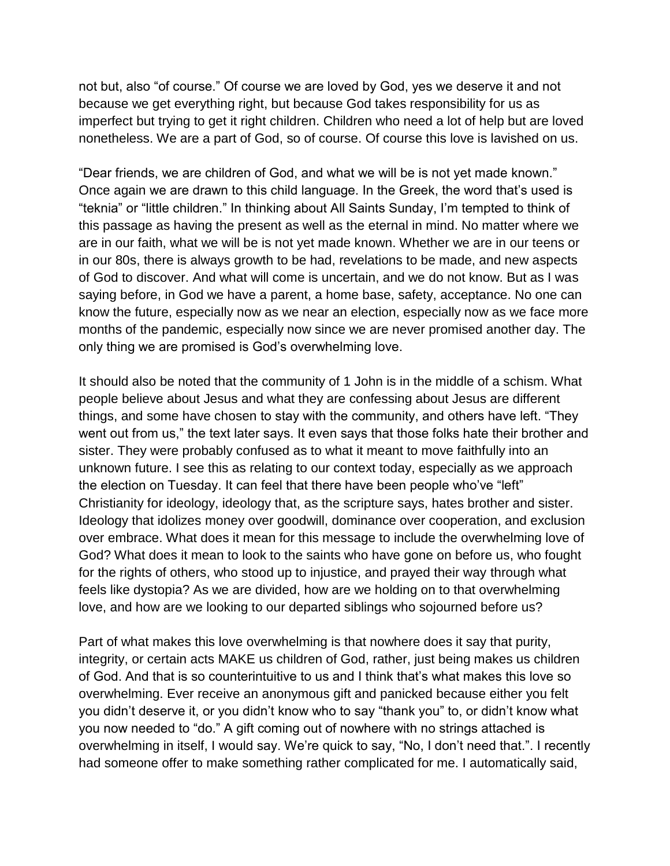not but, also "of course." Of course we are loved by God, yes we deserve it and not because we get everything right, but because God takes responsibility for us as imperfect but trying to get it right children. Children who need a lot of help but are loved nonetheless. We are a part of God, so of course. Of course this love is lavished on us.

"Dear friends, we are children of God, and what we will be is not yet made known." Once again we are drawn to this child language. In the Greek, the word that's used is "teknia" or "little children." In thinking about All Saints Sunday, I'm tempted to think of this passage as having the present as well as the eternal in mind. No matter where we are in our faith, what we will be is not yet made known. Whether we are in our teens or in our 80s, there is always growth to be had, revelations to be made, and new aspects of God to discover. And what will come is uncertain, and we do not know. But as I was saying before, in God we have a parent, a home base, safety, acceptance. No one can know the future, especially now as we near an election, especially now as we face more months of the pandemic, especially now since we are never promised another day. The only thing we are promised is God's overwhelming love.

It should also be noted that the community of 1 John is in the middle of a schism. What people believe about Jesus and what they are confessing about Jesus are different things, and some have chosen to stay with the community, and others have left. "They went out from us," the text later says. It even says that those folks hate their brother and sister. They were probably confused as to what it meant to move faithfully into an unknown future. I see this as relating to our context today, especially as we approach the election on Tuesday. It can feel that there have been people who've "left" Christianity for ideology, ideology that, as the scripture says, hates brother and sister. Ideology that idolizes money over goodwill, dominance over cooperation, and exclusion over embrace. What does it mean for this message to include the overwhelming love of God? What does it mean to look to the saints who have gone on before us, who fought for the rights of others, who stood up to injustice, and prayed their way through what feels like dystopia? As we are divided, how are we holding on to that overwhelming love, and how are we looking to our departed siblings who sojourned before us?

Part of what makes this love overwhelming is that nowhere does it say that purity, integrity, or certain acts MAKE us children of God, rather, just being makes us children of God. And that is so counterintuitive to us and I think that's what makes this love so overwhelming. Ever receive an anonymous gift and panicked because either you felt you didn't deserve it, or you didn't know who to say "thank you" to, or didn't know what you now needed to "do." A gift coming out of nowhere with no strings attached is overwhelming in itself, I would say. We're quick to say, "No, I don't need that.". I recently had someone offer to make something rather complicated for me. I automatically said,